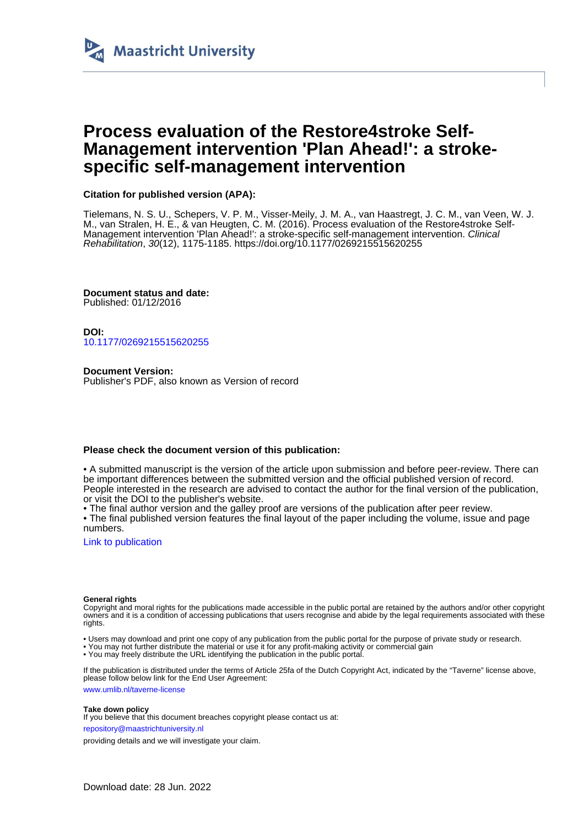

# **Process evaluation of the Restore4stroke Self-Management intervention 'Plan Ahead!': a strokespecific self-management intervention**

# **Citation for published version (APA):**

Tielemans, N. S. U., Schepers, V. P. M., Visser-Meily, J. M. A., van Haastregt, J. C. M., van Veen, W. J. M., van Stralen, H. E., & van Heugten, C. M. (2016). Process evaluation of the Restore4stroke Self-Management intervention 'Plan Ahead!': a stroke-specific self-management intervention. Clinical Rehabilitation, 30(12), 1175-1185. <https://doi.org/10.1177/0269215515620255>

**Document status and date:** Published: 01/12/2016

**DOI:** [10.1177/0269215515620255](https://doi.org/10.1177/0269215515620255)

**Document Version:** Publisher's PDF, also known as Version of record

#### **Please check the document version of this publication:**

• A submitted manuscript is the version of the article upon submission and before peer-review. There can be important differences between the submitted version and the official published version of record. People interested in the research are advised to contact the author for the final version of the publication, or visit the DOI to the publisher's website.

• The final author version and the galley proof are versions of the publication after peer review.

• The final published version features the final layout of the paper including the volume, issue and page numbers.

[Link to publication](https://cris.maastrichtuniversity.nl/en/publications/8e0bbea4-e6f7-4271-ae93-5a687a2db399)

#### **General rights**

Copyright and moral rights for the publications made accessible in the public portal are retained by the authors and/or other copyright owners and it is a condition of accessing publications that users recognise and abide by the legal requirements associated with these rights.

- Users may download and print one copy of any publication from the public portal for the purpose of private study or research.
- You may not further distribute the material or use it for any profit-making activity or commercial gain
- You may freely distribute the URL identifying the publication in the public portal.

If the publication is distributed under the terms of Article 25fa of the Dutch Copyright Act, indicated by the "Taverne" license above, please follow below link for the End User Agreement:

www.umlib.nl/taverne-license

#### **Take down policy**

If you believe that this document breaches copyright please contact us at:

repository@maastrichtuniversity.nl

providing details and we will investigate your claim.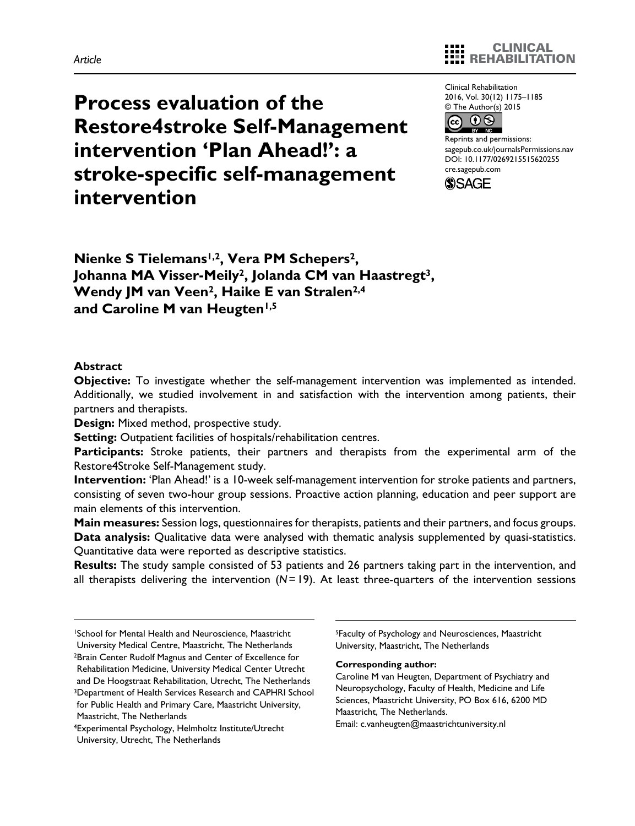# **Process evaluation of the Restore4stroke Self-Management intervention 'Plan Ahead!': a stroke-specific self-management intervention**

Clinical Rehabilitation 2016, Vol. 30(12) 1175–1185 © The Author(s) 2015



Reprints and permissions: sagepub.co.uk/journalsPermissions.nav DOI: 10.1177/0269215515620255 cre.sagepub.com



**Nienke S Tielemans1,2, Vera PM Schepers2, Johanna MA Visser-Meily2, Jolanda CM van Haastregt3,**  Wendy JM van Veen<sup>2</sup>, Haike E van Stralen<sup>2,4</sup> and Caroline M van Heugten<sup>1,5</sup>

#### **Abstract**

**Objective:** To investigate whether the self-management intervention was implemented as intended. Additionally, we studied involvement in and satisfaction with the intervention among patients, their partners and therapists.

**Design:** Mixed method, prospective study.

**Setting:** Outpatient facilities of hospitals/rehabilitation centres.

**Participants:** Stroke patients, their partners and therapists from the experimental arm of the Restore4Stroke Self-Management study.

**Intervention:** 'Plan Ahead!' is a 10-week self-management intervention for stroke patients and partners, consisting of seven two-hour group sessions. Proactive action planning, education and peer support are main elements of this intervention.

**Main measures:** Session logs, questionnaires for therapists, patients and their partners, and focus groups. **Data analysis:** Qualitative data were analysed with thematic analysis supplemented by quasi-statistics. Quantitative data were reported as descriptive statistics.

**Results:** The study sample consisted of 53 patients and 26 partners taking part in the intervention, and all therapists delivering the intervention (*N*=19). At least three-quarters of the intervention sessions

University Medical Centre, Maastricht, The Netherlands

Rehabilitation Medicine, University Medical Center Utrecht and De Hoogstraat Rehabilitation, Utrecht, The Netherlands 3Department of Health Services Research and CAPHRI School for Public Health and Primary Care, Maastricht University, Maastricht, The Netherlands

5Faculty of Psychology and Neurosciences, Maastricht University, Maastricht, The Netherlands

#### **Corresponding author:**

Caroline M van Heugten, Department of Psychiatry and Neuropsychology, Faculty of Health, Medicine and Life Sciences, Maastricht University, PO Box 616, 6200 MD Maastricht, The Netherlands.

Email: [c.vanheugten@maastrichtuniversity.nl](mailto:c.vanheugten@maastrichtuniversity.nl)

<sup>1</sup>School for Mental Health and Neuroscience, Maastricht

<sup>2</sup>Brain Center Rudolf Magnus and Center of Excellence for

<sup>4</sup>Experimental Psychology, Helmholtz Institute/Utrecht University, Utrecht, The Netherlands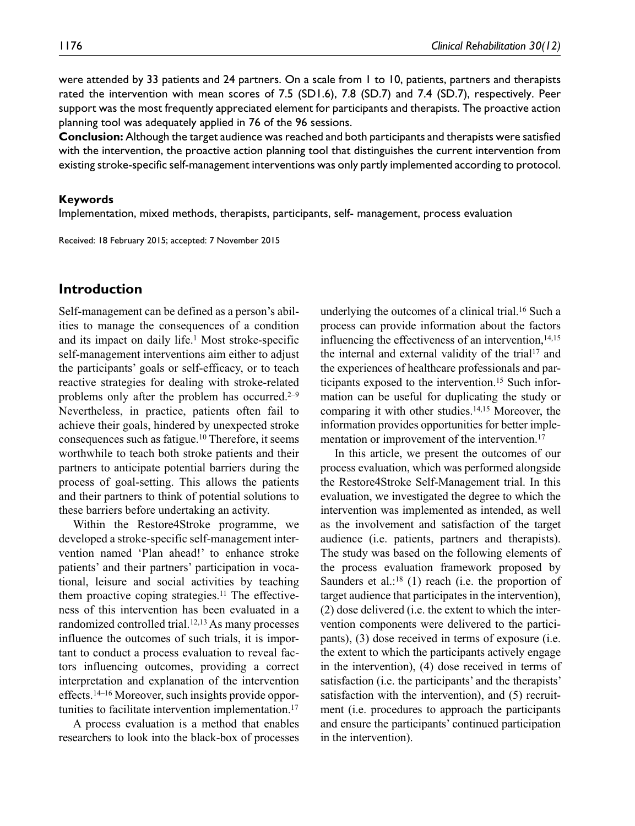were attended by 33 patients and 24 partners. On a scale from 1 to 10, patients, partners and therapists rated the intervention with mean scores of 7.5 (SD1.6), 7.8 (SD.7) and 7.4 (SD.7), respectively. Peer support was the most frequently appreciated element for participants and therapists. The proactive action planning tool was adequately applied in 76 of the 96 sessions.

**Conclusion:** Although the target audience was reached and both participants and therapists were satisfied with the intervention, the proactive action planning tool that distinguishes the current intervention from existing stroke-specific self-management interventions was only partly implemented according to protocol.

#### **Keywords**

Implementation, mixed methods, therapists, participants, self- management, process evaluation

Received: 18 February 2015; accepted: 7 November 2015

# **Introduction**

Self-management can be defined as a person's abilities to manage the consequences of a condition and its impact on daily life.1 Most stroke-specific self-management interventions aim either to adjust the participants' goals or self-efficacy, or to teach reactive strategies for dealing with stroke-related problems only after the problem has occurred.<sup>2–9</sup> Nevertheless, in practice, patients often fail to achieve their goals, hindered by unexpected stroke consequences such as fatigue.10 Therefore, it seems worthwhile to teach both stroke patients and their partners to anticipate potential barriers during the process of goal-setting. This allows the patients and their partners to think of potential solutions to these barriers before undertaking an activity.

Within the Restore4Stroke programme, we developed a stroke-specific self-management intervention named 'Plan ahead!' to enhance stroke patients' and their partners' participation in vocational, leisure and social activities by teaching them proactive coping strategies.<sup>11</sup> The effectiveness of this intervention has been evaluated in a randomized controlled trial.12,13 As many processes influence the outcomes of such trials, it is important to conduct a process evaluation to reveal factors influencing outcomes, providing a correct interpretation and explanation of the intervention effects.14–16 Moreover, such insights provide opportunities to facilitate intervention implementation.17

A process evaluation is a method that enables researchers to look into the black-box of processes underlying the outcomes of a clinical trial.16 Such a process can provide information about the factors influencing the effectiveness of an intervention, $14,15$ the internal and external validity of the trial<sup>17</sup> and the experiences of healthcare professionals and participants exposed to the intervention.<sup>15</sup> Such information can be useful for duplicating the study or comparing it with other studies.14,15 Moreover, the information provides opportunities for better implementation or improvement of the intervention.<sup>17</sup>

In this article, we present the outcomes of our process evaluation, which was performed alongside the Restore4Stroke Self-Management trial. In this evaluation, we investigated the degree to which the intervention was implemented as intended, as well as the involvement and satisfaction of the target audience (i.e. patients, partners and therapists). The study was based on the following elements of the process evaluation framework proposed by Saunders et al.:<sup>18</sup> (1) reach (i.e. the proportion of target audience that participates in the intervention), (2) dose delivered (i.e. the extent to which the intervention components were delivered to the participants), (3) dose received in terms of exposure (i.e. the extent to which the participants actively engage in the intervention), (4) dose received in terms of satisfaction (i.e. the participants' and the therapists' satisfaction with the intervention), and (5) recruitment (i.e. procedures to approach the participants and ensure the participants' continued participation in the intervention).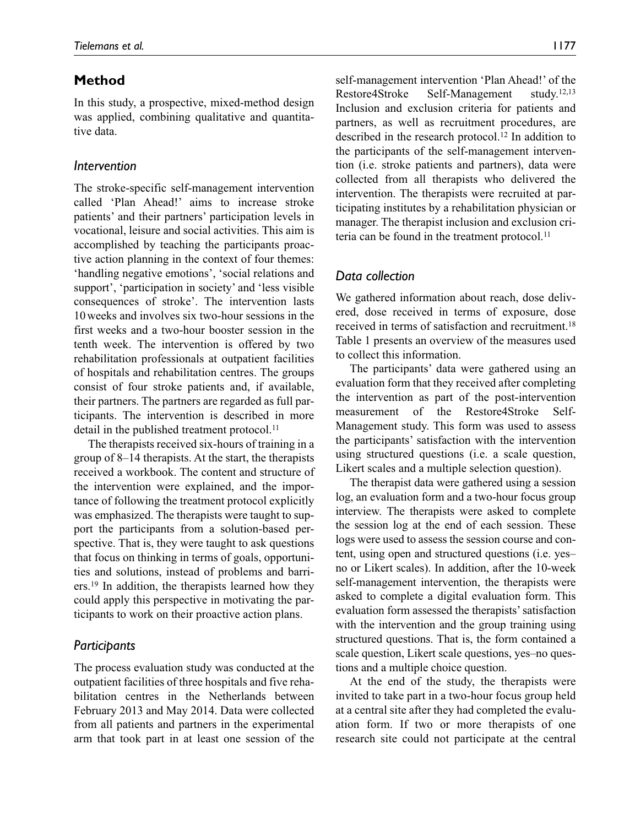# **Method**

In this study, a prospective, mixed-method design was applied, combining qualitative and quantitative data.

### *Intervention*

The stroke-specific self-management intervention called 'Plan Ahead!' aims to increase stroke patients' and their partners' participation levels in vocational, leisure and social activities. This aim is accomplished by teaching the participants proactive action planning in the context of four themes: 'handling negative emotions', 'social relations and support', 'participation in society' and 'less visible consequences of stroke'. The intervention lasts 10weeks and involves six two-hour sessions in the first weeks and a two-hour booster session in the tenth week. The intervention is offered by two rehabilitation professionals at outpatient facilities of hospitals and rehabilitation centres. The groups consist of four stroke patients and, if available, their partners. The partners are regarded as full participants. The intervention is described in more detail in the published treatment protocol.<sup>11</sup>

The therapists received six-hours of training in a group of 8–14 therapists. At the start, the therapists received a workbook. The content and structure of the intervention were explained, and the importance of following the treatment protocol explicitly was emphasized. The therapists were taught to support the participants from a solution-based perspective. That is, they were taught to ask questions that focus on thinking in terms of goals, opportunities and solutions, instead of problems and barriers.19 In addition, the therapists learned how they could apply this perspective in motivating the participants to work on their proactive action plans.

## *Participants*

The process evaluation study was conducted at the outpatient facilities of three hospitals and five rehabilitation centres in the Netherlands between February 2013 and May 2014. Data were collected from all patients and partners in the experimental arm that took part in at least one session of the

self-management intervention 'Plan Ahead!' of the Restore4Stroke Self-Management study.12,13 Inclusion and exclusion criteria for patients and partners, as well as recruitment procedures, are described in the research protocol.12 In addition to the participants of the self-management intervention (i.e. stroke patients and partners), data were collected from all therapists who delivered the intervention. The therapists were recruited at participating institutes by a rehabilitation physician or manager. The therapist inclusion and exclusion criteria can be found in the treatment protocol.<sup>11</sup>

### *Data collection*

We gathered information about reach, dose delivered, dose received in terms of exposure, dose received in terms of satisfaction and recruitment.18 Table 1 presents an overview of the measures used to collect this information.

The participants' data were gathered using an evaluation form that they received after completing the intervention as part of the post-intervention measurement of the Restore4Stroke Self-Management study. This form was used to assess the participants' satisfaction with the intervention using structured questions (i.e. a scale question, Likert scales and a multiple selection question).

The therapist data were gathered using a session log, an evaluation form and a two-hour focus group interview. The therapists were asked to complete the session log at the end of each session. These logs were used to assess the session course and content, using open and structured questions (i.e. yes– no or Likert scales). In addition, after the 10-week self-management intervention, the therapists were asked to complete a digital evaluation form. This evaluation form assessed the therapists' satisfaction with the intervention and the group training using structured questions. That is, the form contained a scale question, Likert scale questions, yes–no questions and a multiple choice question.

At the end of the study, the therapists were invited to take part in a two-hour focus group held at a central site after they had completed the evaluation form. If two or more therapists of one research site could not participate at the central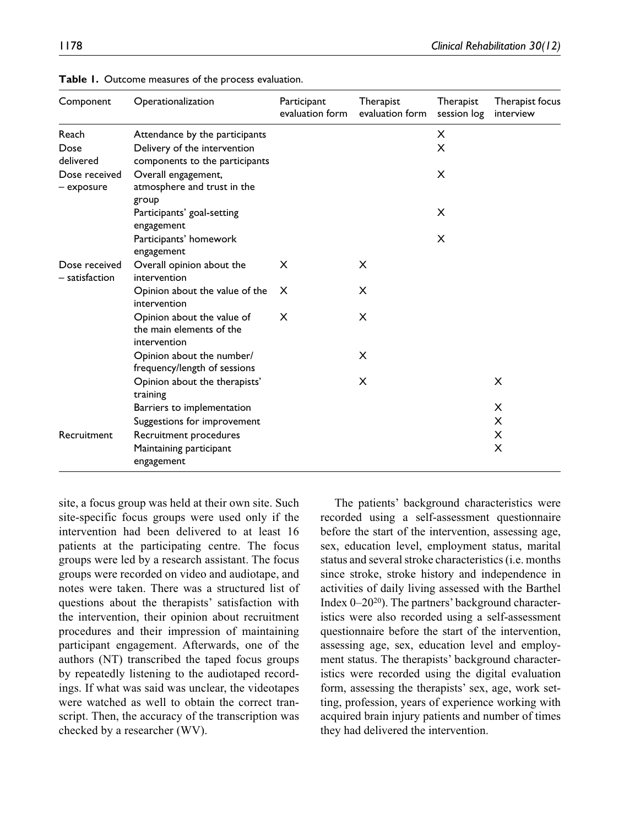| Component                       | Operationalization                                                                            | Participant<br>evaluation form | Therapist<br>evaluation form | Therapist<br>session log | Therapist focus<br>interview |
|---------------------------------|-----------------------------------------------------------------------------------------------|--------------------------------|------------------------------|--------------------------|------------------------------|
| Reach<br>Dose<br>delivered      | Attendance by the participants<br>Delivery of the intervention                                |                                |                              | X<br>X                   |                              |
| Dose received<br>- exposure     | components to the participants<br>Overall engagement,<br>atmosphere and trust in the<br>group |                                |                              | X                        |                              |
|                                 | Participants' goal-setting<br>engagement                                                      |                                |                              | X                        |                              |
|                                 | Participants' homework<br>engagement                                                          |                                |                              | X                        |                              |
| Dose received<br>– satisfaction | Overall opinion about the<br>intervention                                                     | X                              | x                            |                          |                              |
|                                 | Opinion about the value of the<br>intervention                                                | x                              | x                            |                          |                              |
|                                 | Opinion about the value of<br>the main elements of the<br>intervention                        | X                              | X                            |                          |                              |
|                                 | Opinion about the number/<br>frequency/length of sessions                                     |                                | X                            |                          |                              |
|                                 | Opinion about the therapists'<br>training                                                     |                                | X                            |                          | x                            |
|                                 | Barriers to implementation                                                                    |                                |                              |                          | x                            |
|                                 | Suggestions for improvement                                                                   |                                |                              |                          | x                            |
| Recruitment                     | Recruitment procedures                                                                        |                                |                              |                          | X                            |
|                                 | Maintaining participant<br>engagement                                                         |                                |                              |                          | X                            |

| Table 1. Outcome measures of the process evaluation. |  |  |  |
|------------------------------------------------------|--|--|--|
|------------------------------------------------------|--|--|--|

site, a focus group was held at their own site. Such site-specific focus groups were used only if the intervention had been delivered to at least 16 patients at the participating centre. The focus groups were led by a research assistant. The focus groups were recorded on video and audiotape, and notes were taken. There was a structured list of questions about the therapists' satisfaction with the intervention, their opinion about recruitment procedures and their impression of maintaining participant engagement. Afterwards, one of the authors (NT) transcribed the taped focus groups by repeatedly listening to the audiotaped recordings. If what was said was unclear, the videotapes were watched as well to obtain the correct transcript. Then, the accuracy of the transcription was checked by a researcher (WV).

The patients' background characteristics were recorded using a self-assessment questionnaire before the start of the intervention, assessing age, sex, education level, employment status, marital status and several stroke characteristics (i.e. months since stroke, stroke history and independence in activities of daily living assessed with the Barthel Index 0–2020). The partners' background characteristics were also recorded using a self-assessment questionnaire before the start of the intervention, assessing age, sex, education level and employment status. The therapists' background characteristics were recorded using the digital evaluation form, assessing the therapists' sex, age, work setting, profession, years of experience working with acquired brain injury patients and number of times they had delivered the intervention.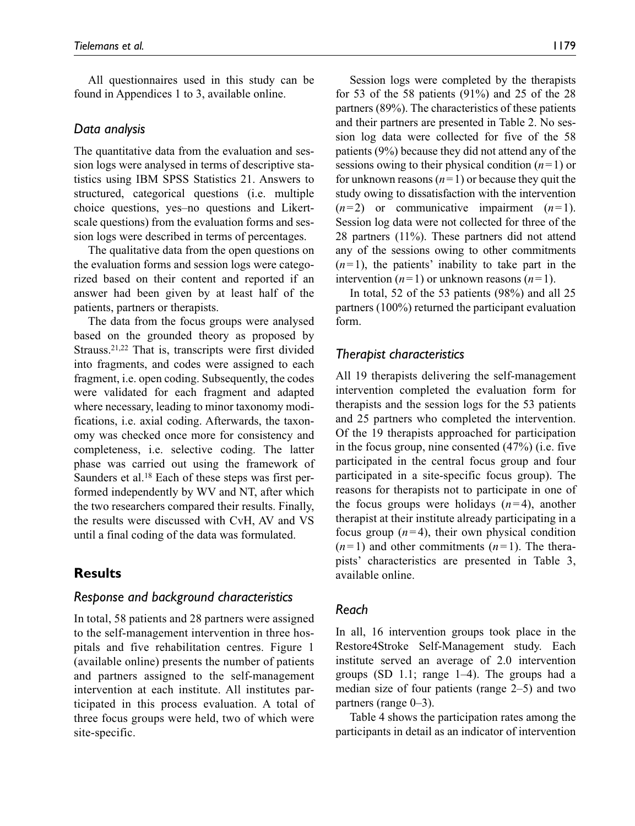All questionnaires used in this study can be found in Appendices 1 to 3, available online.

# *Data analysis*

The quantitative data from the evaluation and session logs were analysed in terms of descriptive statistics using IBM SPSS Statistics 21. Answers to structured, categorical questions (i.e. multiple choice questions, yes–no questions and Likertscale questions) from the evaluation forms and session logs were described in terms of percentages.

The qualitative data from the open questions on the evaluation forms and session logs were categorized based on their content and reported if an answer had been given by at least half of the patients, partners or therapists.

The data from the focus groups were analysed based on the grounded theory as proposed by Strauss.21,22 That is, transcripts were first divided into fragments, and codes were assigned to each fragment, i.e. open coding. Subsequently, the codes were validated for each fragment and adapted where necessary, leading to minor taxonomy modifications, i.e. axial coding. Afterwards, the taxonomy was checked once more for consistency and completeness, i.e. selective coding. The latter phase was carried out using the framework of Saunders et al.18 Each of these steps was first performed independently by WV and NT, after which the two researchers compared their results. Finally, the results were discussed with CvH, AV and VS until a final coding of the data was formulated.

# **Results**

## *Response and background characteristics*

In total, 58 patients and 28 partners were assigned to the self-management intervention in three hospitals and five rehabilitation centres. Figure 1 (available online) presents the number of patients and partners assigned to the self-management intervention at each institute. All institutes participated in this process evaluation. A total of three focus groups were held, two of which were site-specific.

Session logs were completed by the therapists for 53 of the 58 patients (91%) and 25 of the 28 partners (89%). The characteristics of these patients and their partners are presented in Table 2. No session log data were collected for five of the 58 patients (9%) because they did not attend any of the sessions owing to their physical condition (*n*=1) or for unknown reasons  $(n=1)$  or because they quit the study owing to dissatisfaction with the intervention  $(n=2)$  or communicative impairment  $(n=1)$ . Session log data were not collected for three of the 28 partners (11%). These partners did not attend any of the sessions owing to other commitments  $(n=1)$ , the patients' inability to take part in the intervention  $(n=1)$  or unknown reasons  $(n=1)$ .

In total, 52 of the 53 patients (98%) and all 25 partners (100%) returned the participant evaluation form.

# *Therapist characteristics*

All 19 therapists delivering the self-management intervention completed the evaluation form for therapists and the session logs for the 53 patients and 25 partners who completed the intervention. Of the 19 therapists approached for participation in the focus group, nine consented (47%) (i.e. five participated in the central focus group and four participated in a site-specific focus group). The reasons for therapists not to participate in one of the focus groups were holidays (*n*=4), another therapist at their institute already participating in a focus group  $(n=4)$ , their own physical condition  $(n=1)$  and other commitments  $(n=1)$ . The therapists' characteristics are presented in Table 3, available online.

# *Reach*

In all, 16 intervention groups took place in the Restore4Stroke Self-Management study. Each institute served an average of 2.0 intervention groups (SD 1.1; range 1–4). The groups had a median size of four patients (range 2–5) and two partners (range 0–3).

Table 4 shows the participation rates among the participants in detail as an indicator of intervention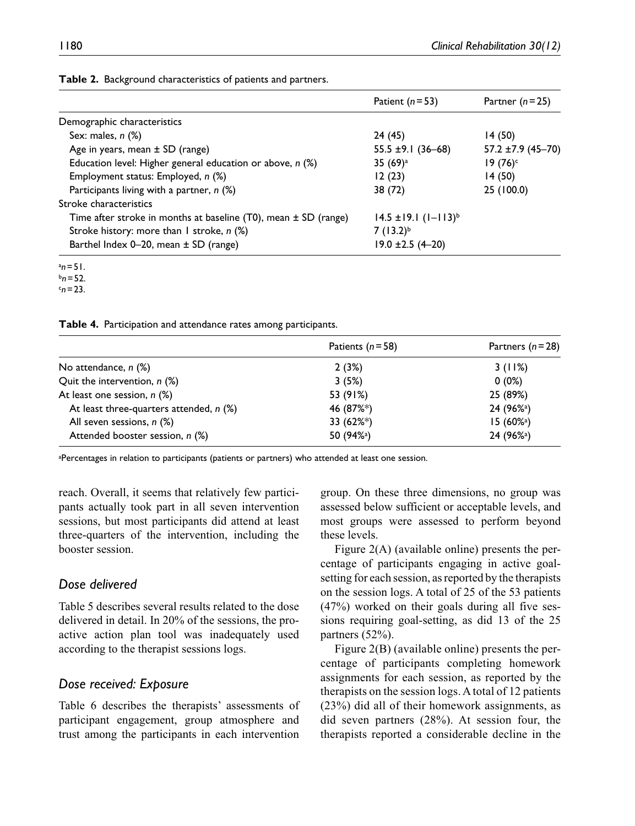|                                                                        | Patient $(n=53)$              | Partner $(n=25)$       |
|------------------------------------------------------------------------|-------------------------------|------------------------|
| Demographic characteristics                                            |                               |                        |
| Sex: males, $n$ $(\%)$                                                 | 24 (45)                       | 14(50)                 |
| Age in years, mean $\pm$ SD (range)                                    | 55.5 $\pm$ 9.1 (36–68)        | $57.2 \pm 7.9$ (45-70) |
| Education level: Higher general education or above, $n$ (%)            | 35 $(69)^a$                   | $19(76)$ c             |
| Employment status: Employed, n (%)                                     | 12(23)                        | 14(50)                 |
| Participants living with a partner, $n$ (%)                            | 38 (72)                       | 25 (100.0)             |
| Stroke characteristics                                                 |                               |                        |
| Time after stroke in months at baseline $(T0)$ , mean $\pm$ SD (range) | $14.5 \pm 19.1 (1 - 113)^{6}$ |                        |
| Stroke history: more than I stroke, n (%)                              | $7(13.2)^{b}$                 |                        |
| Barthel Index 0-20, mean ± SD (range)                                  | $19.0 \pm 2.5 (4 - 20)$       |                        |

**Table 2.** Background characteristics of patients and partners.

a *n*=51.

 $b_n = 52$ .

 $c_n = 23$ .

**Table 4.** Participation and attendance rates among participants.

|                                           | Patients $(n=58)$      | Partners $(n=28)$      |
|-------------------------------------------|------------------------|------------------------|
| No attendance, n (%)                      | 2(3%)                  | 3(11%)                 |
| Quit the intervention, $n$ (%)            | 3(5%)                  | $0(0\%)$               |
| At least one session, $n$ (%)             | 53 (91%)               | 25 (89%)               |
| At least three-quarters attended, $n$ (%) | 46 (87%*)              | 24 (96% <sup>a</sup> ) |
| All seven sessions, $n$ (%)               | 33 (62%*)              | 15 (60%ª)              |
| Attended booster session, n (%)           | 50 (94% <sup>a</sup> ) | 24 (96% <sup>a</sup> ) |

a Percentages in relation to participants (patients or partners) who attended at least one session.

reach. Overall, it seems that relatively few participants actually took part in all seven intervention sessions, but most participants did attend at least three-quarters of the intervention, including the booster session.

# *Dose delivered*

Table 5 describes several results related to the dose delivered in detail. In 20% of the sessions, the proactive action plan tool was inadequately used according to the therapist sessions logs.

#### *Dose received: Exposure*

Table 6 describes the therapists' assessments of participant engagement, group atmosphere and trust among the participants in each intervention

group. On these three dimensions, no group was assessed below sufficient or acceptable levels, and most groups were assessed to perform beyond these levels.

Figure 2(A) (available online) presents the percentage of participants engaging in active goalsetting for each session, as reported by the therapists on the session logs. A total of 25 of the 53 patients (47%) worked on their goals during all five sessions requiring goal-setting, as did 13 of the 25 partners (52%).

Figure 2(B) (available online) presents the percentage of participants completing homework assignments for each session, as reported by the therapists on the session logs. A total of 12 patients (23%) did all of their homework assignments, as did seven partners (28%). At session four, the therapists reported a considerable decline in the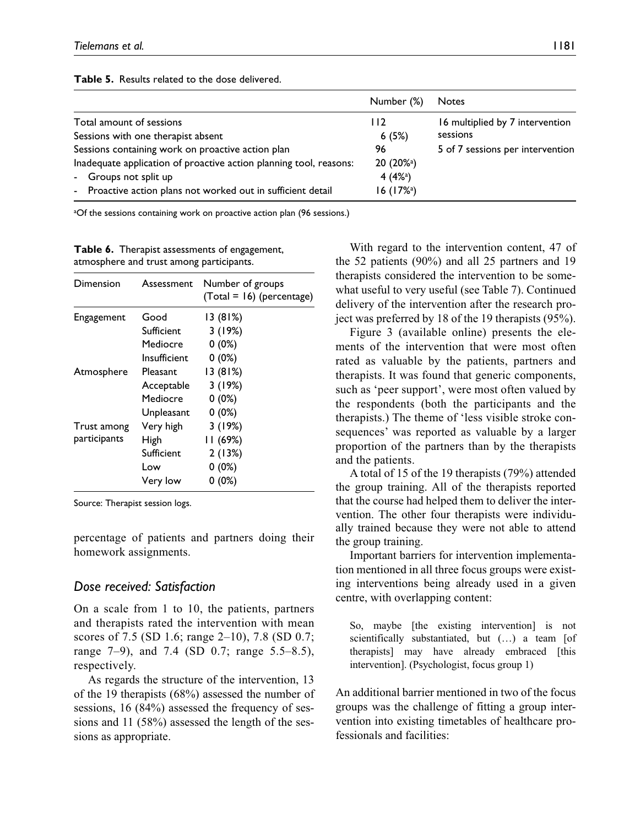|                                                                    | Number (%)             | <b>Notes</b>                     |
|--------------------------------------------------------------------|------------------------|----------------------------------|
| Total amount of sessions                                           | 112                    | 16 multiplied by 7 intervention  |
| Sessions with one therapist absent                                 | 6(5%)                  | sessions                         |
| Sessions containing work on proactive action plan                  | 96                     | 5 of 7 sessions per intervention |
| Inadequate application of proactive action planning tool, reasons: | 20 (20% <sup>a</sup> ) |                                  |
| - Groups not split up                                              | 4 $(4\%)$              |                                  |
| - Proactive action plans not worked out in sufficient detail       | $16(17\%)$             |                                  |

#### **Table 5.** Results related to the dose delivered.

a Of the sessions containing work on proactive action plan (96 sessions.)

**Table 6.** Therapist assessments of engagement, atmosphere and trust among participants.

| Dimension    | Assessment   | Number of groups<br>(Total = 16) (percentage) |
|--------------|--------------|-----------------------------------------------|
| Engagement   | Good         | 13 (81%)                                      |
|              | Sufficient   | 3(19%)                                        |
|              | Mediocre     | $0(0\%)$                                      |
|              | Insufficient | $0(0\%)$                                      |
| Atmosphere   | Pleasant     | 13(81%)                                       |
|              | Acceptable   | 3(19%)                                        |
|              | Mediocre     | $0(0\%)$                                      |
|              | Unpleasant   | $0(0\%)$                                      |
| Trust among  | Very high    | 3(19%)                                        |
| participants | High         | 11 (69%)                                      |
|              | Sufficient   | 2 (13%)                                       |
|              | Low          | $0(0\%)$                                      |
|              | Very low     | $0(0\%)$                                      |

Source: Therapist session logs.

percentage of patients and partners doing their homework assignments.

#### *Dose received: Satisfaction*

On a scale from 1 to 10, the patients, partners and therapists rated the intervention with mean scores of 7.5 (SD 1.6; range 2–10), 7.8 (SD 0.7; range 7–9), and 7.4 (SD 0.7; range 5.5–8.5), respectively.

As regards the structure of the intervention, 13 of the 19 therapists (68%) assessed the number of sessions, 16 (84%) assessed the frequency of sessions and 11 (58%) assessed the length of the sessions as appropriate.

With regard to the intervention content, 47 of the 52 patients (90%) and all 25 partners and 19 therapists considered the intervention to be somewhat useful to very useful (see Table 7). Continued delivery of the intervention after the research project was preferred by 18 of the 19 therapists (95%).

Figure 3 (available online) presents the elements of the intervention that were most often rated as valuable by the patients, partners and therapists. It was found that generic components, such as 'peer support', were most often valued by the respondents (both the participants and the therapists.) The theme of 'less visible stroke consequences' was reported as valuable by a larger proportion of the partners than by the therapists and the patients.

A total of 15 of the 19 therapists (79%) attended the group training. All of the therapists reported that the course had helped them to deliver the intervention. The other four therapists were individually trained because they were not able to attend the group training.

Important barriers for intervention implementation mentioned in all three focus groups were existing interventions being already used in a given centre, with overlapping content:

So, maybe [the existing intervention] is not scientifically substantiated, but (…) a team [of therapists] may have already embraced [this intervention]. (Psychologist, focus group 1)

An additional barrier mentioned in two of the focus groups was the challenge of fitting a group intervention into existing timetables of healthcare professionals and facilities: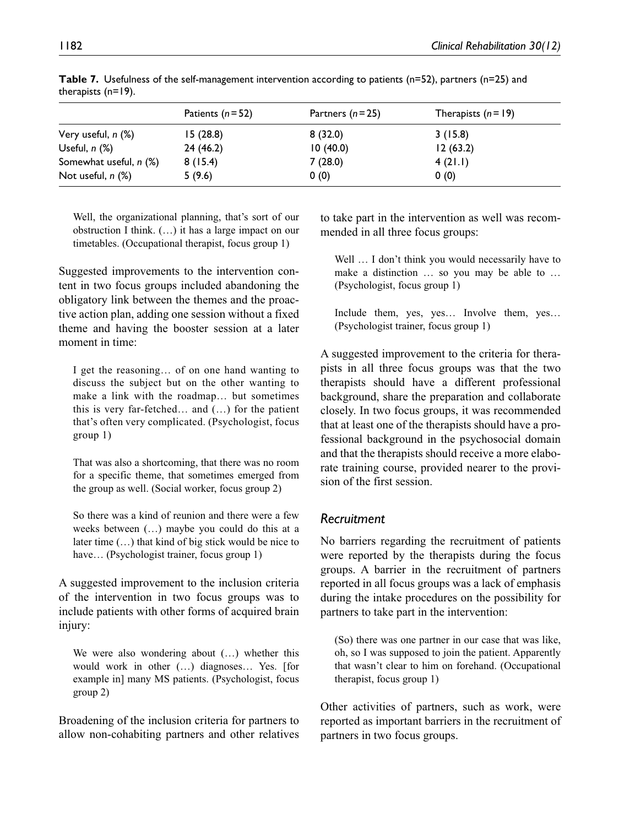|                            | Patients $(n=52)$ | Partners $(n=25)$ | Therapists $(n=19)$ |
|----------------------------|-------------------|-------------------|---------------------|
| Very useful, <i>n (</i> %) | 15(28.8)          | 8(32.0)           | 3(15.8)             |
| Useful, n (%)              | 24 (46.2)         | 10(40.0)          | 12(63.2)            |
| Somewhat useful, n (%)     | 8(15.4)           | 7(28.0)           | 4(21.1)             |
| Not useful, n (%)          | 5(9.6)            | 0(0)              | 0(0)                |

**Table 7.** Usefulness of the self-management intervention according to patients (n=52), partners (n=25) and therapists (n=19).

Well, the organizational planning, that's sort of our obstruction I think. (…) it has a large impact on our timetables. (Occupational therapist, focus group 1)

Suggested improvements to the intervention content in two focus groups included abandoning the obligatory link between the themes and the proactive action plan, adding one session without a fixed theme and having the booster session at a later moment in time:

I get the reasoning… of on one hand wanting to discuss the subject but on the other wanting to make a link with the roadmap… but sometimes this is very far-fetched… and (…) for the patient that's often very complicated. (Psychologist, focus group 1)

That was also a shortcoming, that there was no room for a specific theme, that sometimes emerged from the group as well. (Social worker, focus group 2)

So there was a kind of reunion and there were a few weeks between (…) maybe you could do this at a later time (…) that kind of big stick would be nice to have... (Psychologist trainer, focus group 1)

A suggested improvement to the inclusion criteria of the intervention in two focus groups was to include patients with other forms of acquired brain injury:

We were also wondering about  $(...)$  whether this would work in other (…) diagnoses… Yes. [for example in] many MS patients. (Psychologist, focus group 2)

Broadening of the inclusion criteria for partners to allow non-cohabiting partners and other relatives to take part in the intervention as well was recommended in all three focus groups:

Well ... I don't think you would necessarily have to make a distinction … so you may be able to … (Psychologist, focus group 1)

Include them, yes, yes… Involve them, yes… (Psychologist trainer, focus group 1)

A suggested improvement to the criteria for therapists in all three focus groups was that the two therapists should have a different professional background, share the preparation and collaborate closely. In two focus groups, it was recommended that at least one of the therapists should have a professional background in the psychosocial domain and that the therapists should receive a more elaborate training course, provided nearer to the provision of the first session.

# *Recruitment*

No barriers regarding the recruitment of patients were reported by the therapists during the focus groups. A barrier in the recruitment of partners reported in all focus groups was a lack of emphasis during the intake procedures on the possibility for partners to take part in the intervention:

(So) there was one partner in our case that was like, oh, so I was supposed to join the patient. Apparently that wasn't clear to him on forehand. (Occupational therapist, focus group 1)

Other activities of partners, such as work, were reported as important barriers in the recruitment of partners in two focus groups.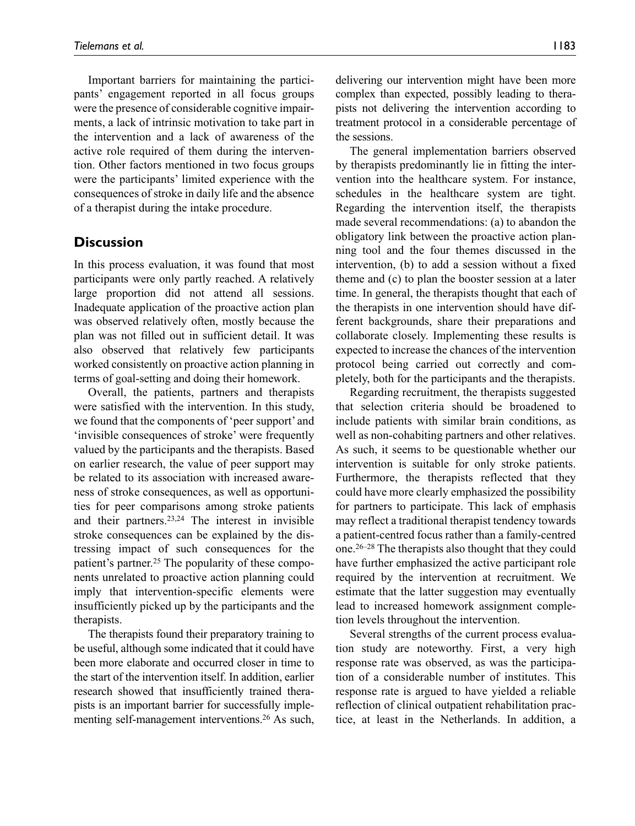Important barriers for maintaining the participants' engagement reported in all focus groups were the presence of considerable cognitive impairments, a lack of intrinsic motivation to take part in the intervention and a lack of awareness of the active role required of them during the intervention. Other factors mentioned in two focus groups were the participants' limited experience with the consequences of stroke in daily life and the absence of a therapist during the intake procedure.

# **Discussion**

In this process evaluation, it was found that most participants were only partly reached. A relatively large proportion did not attend all sessions. Inadequate application of the proactive action plan was observed relatively often, mostly because the plan was not filled out in sufficient detail. It was also observed that relatively few participants worked consistently on proactive action planning in terms of goal-setting and doing their homework.

Overall, the patients, partners and therapists were satisfied with the intervention. In this study, we found that the components of 'peer support' and 'invisible consequences of stroke' were frequently valued by the participants and the therapists. Based on earlier research, the value of peer support may be related to its association with increased awareness of stroke consequences, as well as opportunities for peer comparisons among stroke patients and their partners.23,24 The interest in invisible stroke consequences can be explained by the distressing impact of such consequences for the patient's partner.<sup>25</sup> The popularity of these components unrelated to proactive action planning could imply that intervention-specific elements were insufficiently picked up by the participants and the therapists.

The therapists found their preparatory training to be useful, although some indicated that it could have been more elaborate and occurred closer in time to the start of the intervention itself. In addition, earlier research showed that insufficiently trained therapists is an important barrier for successfully implementing self-management interventions.<sup>26</sup> As such,

delivering our intervention might have been more complex than expected, possibly leading to therapists not delivering the intervention according to treatment protocol in a considerable percentage of the sessions.

The general implementation barriers observed by therapists predominantly lie in fitting the intervention into the healthcare system. For instance, schedules in the healthcare system are tight. Regarding the intervention itself, the therapists made several recommendations: (a) to abandon the obligatory link between the proactive action planning tool and the four themes discussed in the intervention, (b) to add a session without a fixed theme and (c) to plan the booster session at a later time. In general, the therapists thought that each of the therapists in one intervention should have different backgrounds, share their preparations and collaborate closely. Implementing these results is expected to increase the chances of the intervention protocol being carried out correctly and completely, both for the participants and the therapists.

Regarding recruitment, the therapists suggested that selection criteria should be broadened to include patients with similar brain conditions, as well as non-cohabiting partners and other relatives. As such, it seems to be questionable whether our intervention is suitable for only stroke patients. Furthermore, the therapists reflected that they could have more clearly emphasized the possibility for partners to participate. This lack of emphasis may reflect a traditional therapist tendency towards a patient-centred focus rather than a family-centred one.26–28 The therapists also thought that they could have further emphasized the active participant role required by the intervention at recruitment. We estimate that the latter suggestion may eventually lead to increased homework assignment completion levels throughout the intervention.

Several strengths of the current process evaluation study are noteworthy. First, a very high response rate was observed, as was the participation of a considerable number of institutes. This response rate is argued to have yielded a reliable reflection of clinical outpatient rehabilitation practice, at least in the Netherlands. In addition, a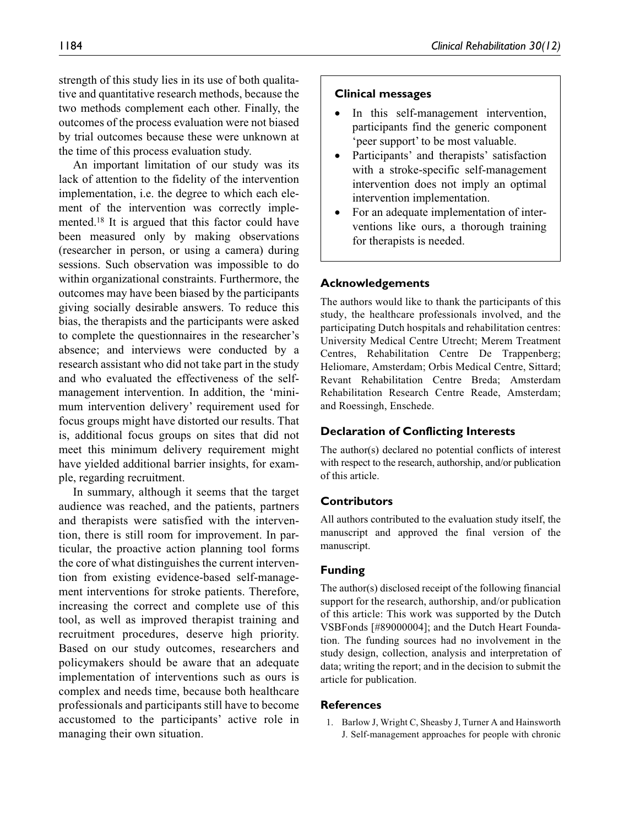strength of this study lies in its use of both qualitative and quantitative research methods, because the two methods complement each other. Finally, the outcomes of the process evaluation were not biased by trial outcomes because these were unknown at the time of this process evaluation study.

An important limitation of our study was its lack of attention to the fidelity of the intervention implementation, i.e. the degree to which each element of the intervention was correctly implemented.18 It is argued that this factor could have been measured only by making observations (researcher in person, or using a camera) during sessions. Such observation was impossible to do within organizational constraints. Furthermore, the outcomes may have been biased by the participants giving socially desirable answers. To reduce this bias, the therapists and the participants were asked to complete the questionnaires in the researcher's absence; and interviews were conducted by a research assistant who did not take part in the study and who evaluated the effectiveness of the selfmanagement intervention. In addition, the 'minimum intervention delivery' requirement used for focus groups might have distorted our results. That is, additional focus groups on sites that did not meet this minimum delivery requirement might have yielded additional barrier insights, for example, regarding recruitment.

In summary, although it seems that the target audience was reached, and the patients, partners and therapists were satisfied with the intervention, there is still room for improvement. In particular, the proactive action planning tool forms the core of what distinguishes the current intervention from existing evidence-based self-management interventions for stroke patients. Therefore, increasing the correct and complete use of this tool, as well as improved therapist training and recruitment procedures, deserve high priority. Based on our study outcomes, researchers and policymakers should be aware that an adequate implementation of interventions such as ours is complex and needs time, because both healthcare professionals and participants still have to become accustomed to the participants' active role in managing their own situation.

#### **Clinical messages**

- In this self-management intervention, participants find the generic component 'peer support' to be most valuable.
- Participants' and therapists' satisfaction with a stroke-specific self-management intervention does not imply an optimal intervention implementation.
- For an adequate implementation of interventions like ours, a thorough training for therapists is needed.

## **Acknowledgements**

The authors would like to thank the participants of this study, the healthcare professionals involved, and the participating Dutch hospitals and rehabilitation centres: University Medical Centre Utrecht; Merem Treatment Centres, Rehabilitation Centre De Trappenberg; Heliomare, Amsterdam; Orbis Medical Centre, Sittard; Revant Rehabilitation Centre Breda; Amsterdam Rehabilitation Research Centre Reade, Amsterdam; and Roessingh, Enschede.

#### **Declaration of Conflicting Interests**

The author(s) declared no potential conflicts of interest with respect to the research, authorship, and/or publication of this article.

#### **Contributors**

All authors contributed to the evaluation study itself, the manuscript and approved the final version of the manuscript.

#### **Funding**

The author(s) disclosed receipt of the following financial support for the research, authorship, and/or publication of this article: This work was supported by the Dutch VSBFonds [#89000004]; and the Dutch Heart Foundation. The funding sources had no involvement in the study design, collection, analysis and interpretation of data; writing the report; and in the decision to submit the article for publication.

#### **References**

1. Barlow J, Wright C, Sheasby J, Turner A and Hainsworth J. Self-management approaches for people with chronic